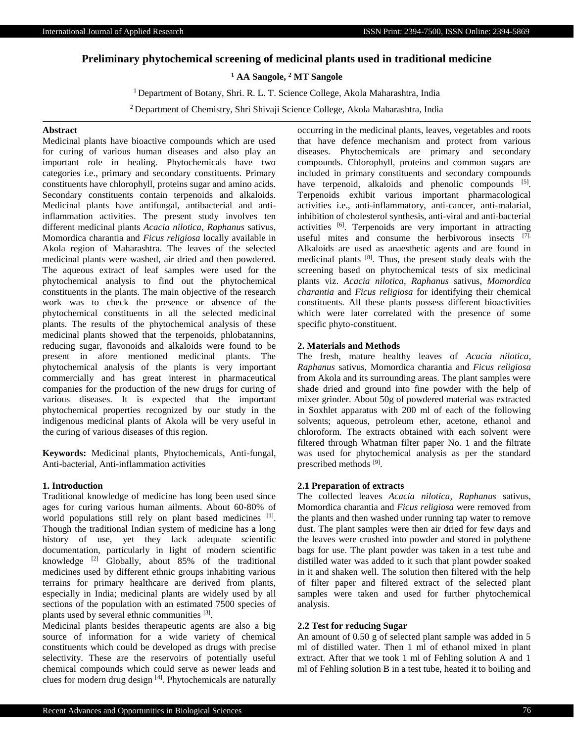# **Preliminary phytochemical screening of medicinal plants used in traditional medicine**

# **<sup>1</sup> AA Sangole, <sup>2</sup> MT Sangole**

<sup>1</sup> Department of Botany, Shri. R. L. T. Science College, Akola Maharashtra, India

<sup>2</sup> Department of Chemistry, Shri Shivaji Science College, Akola Maharashtra, India

### **Abstract**

Medicinal plants have bioactive compounds which are used for curing of various human diseases and also play an important role in healing. Phytochemicals have two categories i.e., primary and secondary constituents. Primary constituents have chlorophyll, proteins sugar and amino acids. Secondary constituents contain terpenoids and alkaloids. Medicinal plants have antifungal, antibacterial and antiinflammation activities. The present study involves ten different medicinal plants *Acacia nilotica*, *Raphanus* sativus, Momordica charantia and *Ficus religiosa* locally available in Akola region of Maharashtra. The leaves of the selected medicinal plants were washed, air dried and then powdered. The aqueous extract of leaf samples were used for the phytochemical analysis to find out the phytochemical constituents in the plants. The main objective of the research work was to check the presence or absence of the phytochemical constituents in all the selected medicinal plants. The results of the phytochemical analysis of these medicinal plants showed that the terpenoids, phlobatannins, reducing sugar, flavonoids and alkaloids were found to be present in afore mentioned medicinal plants. The phytochemical analysis of the plants is very important commercially and has great interest in pharmaceutical companies for the production of the new drugs for curing of various diseases. It is expected that the important phytochemical properties recognized by our study in the indigenous medicinal plants of Akola will be very useful in the curing of various diseases of this region.

**Keywords:** Medicinal plants, Phytochemicals, Anti-fungal, Anti-bacterial, Anti-inflammation activities

# **1. Introduction**

Traditional knowledge of medicine has long been used since ages for curing various human ailments. About 60-80% of world populations still rely on plant based medicines [1]. Though the traditional Indian system of medicine has a long history of use, yet they lack adequate scientific documentation, particularly in light of modern scientific knowledge  $[2]$  Globally, about 85% of the traditional medicines used by different ethnic groups inhabiting various terrains for primary healthcare are derived from plants, especially in India; medicinal plants are widely used by all sections of the population with an estimated 7500 species of plants used by several ethnic communities [3].

Medicinal plants besides therapeutic agents are also a big source of information for a wide variety of chemical constituents which could be developed as drugs with precise selectivity. These are the reservoirs of potentially useful chemical compounds which could serve as newer leads and clues for modern drug design [4]. Phytochemicals are naturally occurring in the medicinal plants, leaves, vegetables and roots that have defence mechanism and protect from various diseases. Phytochemicals are primary and secondary compounds. Chlorophyll, proteins and common sugars are included in primary constituents and secondary compounds have terpenoid, alkaloids and phenolic compounds [5]. Terpenoids exhibit various important pharmacological activities i.e., anti-inflammatory, anti-cancer, anti-malarial, inhibition of cholesterol synthesis, anti-viral and anti-bacterial activities [6]. Terpenoids are very important in attracting useful mites and consume the herbivorous insects [7]. Alkaloids are used as anaesthetic agents and are found in medicinal plants [8]. Thus, the present study deals with the screening based on phytochemical tests of six medicinal plants viz. *Acacia nilotica*, *Raphanus* sativus, *Momordica charantia* and *Ficus religiosa* for identifying their chemical constituents. All these plants possess different bioactivities which were later correlated with the presence of some specific phyto-constituent.

## **2. Materials and Methods**

The fresh, mature healthy leaves of *Acacia nilotica*, *Raphanus* sativus, Momordica charantia and *Ficus religiosa* from Akola and its surrounding areas. The plant samples were shade dried and ground into fine powder with the help of mixer grinder. About 50g of powdered material was extracted in Soxhlet apparatus with 200 ml of each of the following solvents; aqueous, petroleum ether, acetone, ethanol and chloroform. The extracts obtained with each solvent were filtered through Whatman filter paper No. 1 and the filtrate was used for phytochemical analysis as per the standard prescribed methods [9].

## **2.1 Preparation of extracts**

The collected leaves *Acacia nilotica*, *Raphanus* sativus, Momordica charantia and *Ficus religiosa* were removed from the plants and then washed under running tap water to remove dust. The plant samples were then air dried for few days and the leaves were crushed into powder and stored in polythene bags for use. The plant powder was taken in a test tube and distilled water was added to it such that plant powder soaked in it and shaken well. The solution then filtered with the help of filter paper and filtered extract of the selected plant samples were taken and used for further phytochemical analysis.

#### **2.2 Test for reducing Sugar**

An amount of 0.50 g of selected plant sample was added in 5 ml of distilled water. Then 1 ml of ethanol mixed in plant extract. After that we took 1 ml of Fehling solution A and 1 ml of Fehling solution B in a test tube, heated it to boiling and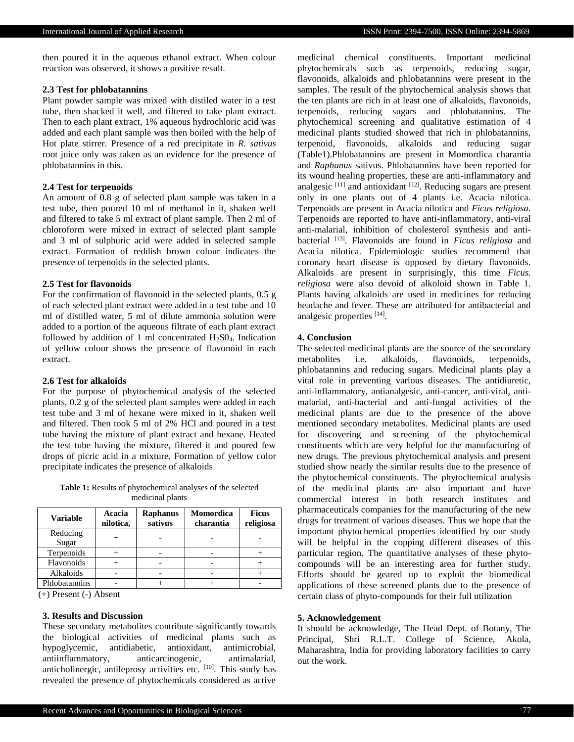then poured it in the aqueous ethanol extract. When colour reaction was observed, it shows a positive result.

## **2.3 Test for phlobatannins**

Plant powder sample was mixed with distiled water in a test tube, then shacked it well, and filtered to take plant extract. Then to each plant extract, 1% aqueous hydrochloric acid was added and each plant sample was then boiled with the help of Hot plate stirrer. Presence of a red precipitate in *R. sativus* root juice only was taken as an evidence for the presence of phlobatannins in this.

## **2.4 Test for terpenoids**

An amount of 0.8 g of selected plant sample was taken in a test tube, then poured 10 ml of methanol in it, shaken well and filtered to take 5 ml extract of plant sample. Then 2 ml of chloroform were mixed in extract of selected plant sample and 3 ml of sulphuric acid were added in selected sample extract. Formation of reddish brown colour indicates the presence of terpenoids in the selected plants.

#### **2.5 Test for flavonoids**

For the confirmation of flavonoid in the selected plants, 0.5 g of each selected plant extract were added in a test tube and 10 ml of distilled water, 5 ml of dilute ammonia solution were added to a portion of the aqueous filtrate of each plant extract followed by addition of 1 ml concentrated  $H_2SO_4$ . Indication of yellow colour shows the presence of flavonoid in each extract.

#### **2.6 Test for alkaloids**

For the purpose of phytochemical analysis of the selected plants, 0.2 g of the selected plant samples were added in each test tube and 3 ml of hexane were mixed in it, shaken well and filtered. Then took 5 ml of 2% HCl and poured in a test tube having the mixture of plant extract and hexane. Heated the test tube having the mixture, filtered it and poured few drops of picric acid in a mixture. Formation of yellow color precipitate indicates the presence of alkaloids

**Table 1:** Results of phytochemical analyses of the selected medicinal plants

| <b>Variable</b> | Acacia<br>nilotica, | <b>Raphanus</b><br>sativus | Momordica<br>charantia | <b>Ficus</b><br>religiosa |
|-----------------|---------------------|----------------------------|------------------------|---------------------------|
| Reducing        |                     |                            |                        |                           |
| Sugar           |                     |                            |                        |                           |
| Terpenoids      |                     |                            |                        |                           |
| Flavonoids      |                     |                            |                        |                           |
| Alkaloids       |                     |                            |                        |                           |
| Phlobatannins   |                     |                            |                        |                           |

### (+) Present (-) Absent

# **3. Results and Discussion**

These secondary metabolites contribute significantly towards the biological activities of medicinal plants such as hypoglycemic, antidiabetic, antioxidant, antimicrobial, antiinflammatory, anticarcinogenic, antimalarial, anticholinergic, antileprosy activities etc. [10]. This study has revealed the presence of phytochemicals considered as active

medicinal chemical constituents. Important medicinal phytochemicals such as terpenoids, reducing sugar, flavonoids, alkaloids and phlobatannins were present in the samples. The result of the phytochemical analysis shows that the ten plants are rich in at least one of alkaloids, flavonoids, terpenoids, reducing sugars and phlobatannins. The phytochemical screening and qualitative estimation of 4 medicinal plants studied showed that rich in phlobatannins, terpenoid, flavonoids, alkaloids and reducing sugar (Table1).Phlobatannins are present in Momordica charantia and *Raphanus* sativus. Phlobatannins have been reported for its wound healing properties, these are anti-inflammatory and analgesic [11] and antioxidant [12]. Reducing sugars are present only in one plants out of 4 plants i.e. Acacia nilotica. Terpenoids are present in Acacia nilotica and *Ficus religiosa*. Terpenoids are reported to have anti-inflammatory, anti-viral anti-malarial, inhibition of cholesterol synthesis and antibacterial [13]. Flavonoids are found in *Ficus religiosa* and Acacia nilotica. Epidemiologic studies recommend that coronary heart disease is opposed by dietary flavonoids. Alkaloids are present in surprisingly, this time *Ficus. religiosa* were also devoid of alkoloid shown in Table 1. Plants having alkaloids are used in medicines for reducing headache and fever. These are attributed for antibacterial and analgesic properties [14] .

#### **4. Conclusion**

The selected medicinal plants are the source of the secondary metabolites i.e. alkaloids, flavonoids, terpenoids, phlobatannins and reducing sugars. Medicinal plants play a vital role in preventing various diseases. The antidiuretic, anti-inflammatory, antianalgesic, anti-cancer, anti-viral, antimalarial, anti-bacterial and anti-fungal activities of the medicinal plants are due to the presence of the above mentioned secondary metabolites. Medicinal plants are used for discovering and screening of the phytochemical constituents which are very helpful for the manufacturing of new drugs. The previous phytochemical analysis and present studied show nearly the similar results due to the presence of the phytochemical constituents. The phytochemical analysis of the medicinal plants are also important and have commercial interest in both research institutes and pharmaceuticals companies for the manufacturing of the new drugs for treatment of various diseases. Thus we hope that the important phytochemical properties identified by our study will be helpful in the copping different diseases of this particular region. The quantitative analyses of these phytocompounds will be an interesting area for further study. Efforts should be geared up to exploit the biomedical applications of these screened plants due to the presence of certain class of phyto-compounds for their full utilization

## **5. Acknowledgement**

It should be acknowledge, The Head Dept. of Botany, The Principal, Shri R.L.T. College of Science, Akola, Maharashtra, India for providing laboratory facilities to carry out the work.